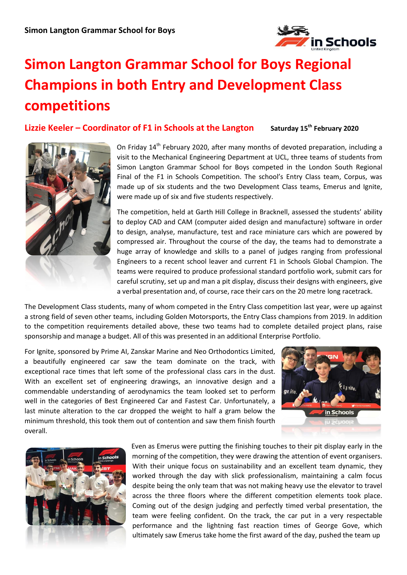

## **Simon Langton Grammar School for Boys Regional Champions in both Entry and Development Class competitions**

**Lizzie Keeler – Coordinator of F1 in Schools at the Langton Saturday 15th February 2020**



On Friday 14<sup>th</sup> February 2020, after many months of devoted preparation, including a visit to the Mechanical Engineering Department at UCL, three teams of students from Simon Langton Grammar School for Boys competed in the London South Regional Final of the F1 in Schools Competition. The school's Entry Class team, Corpus, was made up of six students and the two Development Class teams, Emerus and Ignite, were made up of six and five students respectively.

The competition, held at Garth Hill College in Bracknell, assessed the students' ability to deploy CAD and CAM (computer aided design and manufacture) software in order to design, analyse, manufacture, test and race miniature cars which are powered by compressed air. Throughout the course of the day, the teams had to demonstrate a huge array of knowledge and skills to a panel of judges ranging from professional Engineers to a recent school leaver and current F1 in Schools Global Champion. The teams were required to produce professional standard portfolio work, submit cars for careful scrutiny, set up and man a pit display, discuss their designs with engineers, give a verbal presentation and, of course, race their cars on the 20 metre long racetrack.

The Development Class students, many of whom competed in the Entry Class competition last year, were up against a strong field of seven other teams, including Golden Motorsports, the Entry Class champions from 2019. In addition to the competition requirements detailed above, these two teams had to complete detailed project plans, raise sponsorship and manage a budget. All of this was presented in an additional Enterprise Portfolio.

For Ignite, sponsored by Prime AI, Zanskar Marine and Neo Orthodontics Limited, a beautifully engineered car saw the team dominate on the track, with exceptional race times that left some of the professional class cars in the dust. With an excellent set of engineering drawings, an innovative design and a commendable understanding of aerodynamics the team looked set to perform well in the categories of Best Engineered Car and Fastest Car. Unfortunately, a last minute alteration to the car dropped the weight to half a gram below the minimum threshold, this took them out of contention and saw them finish fourth overall.





Even as Emerus were putting the finishing touches to their pit display early in the morning of the competition, they were drawing the attention of event organisers. With their unique focus on sustainability and an excellent team dynamic, they worked through the day with slick professionalism, maintaining a calm focus despite being the only team that was not making heavy use the elevator to travel across the three floors where the different competition elements took place. Coming out of the design judging and perfectly timed verbal presentation, the team were feeling confident. On the track, the car put in a very respectable performance and the lightning fast reaction times of George Gove, which ultimately saw Emerus take home the first award of the day, pushed the team up